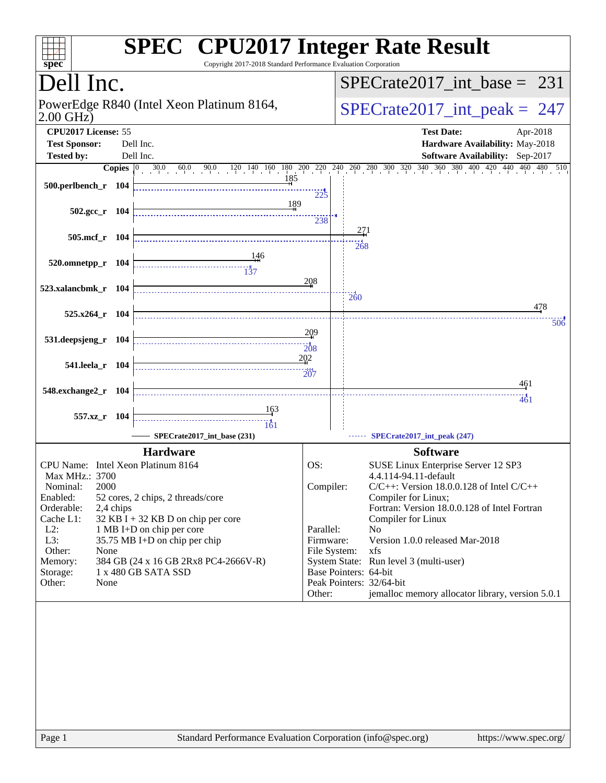| spec <sup>®</sup>                  |           | <b>SPEC<sup>®</sup></b> CPU2017 Integer Rate Result<br>Copyright 2017-2018 Standard Performance Evaluation Corporation |                        |                                                                                                                                                                                        |
|------------------------------------|-----------|------------------------------------------------------------------------------------------------------------------------|------------------------|----------------------------------------------------------------------------------------------------------------------------------------------------------------------------------------|
| Dell Inc.                          |           |                                                                                                                        |                        | $SPECTate2017\_int\_base = 231$                                                                                                                                                        |
| $2.00$ GHz)                        |           | PowerEdge R840 (Intel Xeon Platinum 8164,                                                                              |                        | $SPECrate2017\_int\_peak = 247$                                                                                                                                                        |
| CPU2017 License: 55                |           |                                                                                                                        |                        | <b>Test Date:</b><br>Apr-2018                                                                                                                                                          |
| <b>Test Sponsor:</b>               |           | Dell Inc.                                                                                                              |                        | Hardware Availability: May-2018                                                                                                                                                        |
| <b>Tested by:</b>                  |           | Dell Inc.                                                                                                              |                        | Software Availability: Sep-2017                                                                                                                                                        |
|                                    |           | 185                                                                                                                    |                        | <b>Copies</b> $\begin{bmatrix} 0 & 30.0 & 60.0 & 90.0 & 120 & 140 & 160 & 180 & 200 & 240 & 240 & 260 & 300 & 320 & 340 & 360 & 380 & 400 & 420 & 440 & 460 & 480 & 510 \end{bmatrix}$ |
| 500.perlbench_r 104                |           |                                                                                                                        |                        |                                                                                                                                                                                        |
|                                    |           | 189                                                                                                                    | 225                    |                                                                                                                                                                                        |
| $502.\text{gcc r}$ 104             |           |                                                                                                                        | 238                    |                                                                                                                                                                                        |
|                                    |           |                                                                                                                        |                        | 271                                                                                                                                                                                    |
| 505.mcf_r 104                      |           |                                                                                                                        |                        | 268                                                                                                                                                                                    |
| 520.omnetpp_r 104                  |           | 146                                                                                                                    |                        |                                                                                                                                                                                        |
|                                    |           | $\frac{11}{37}$                                                                                                        |                        |                                                                                                                                                                                        |
| 523.xalancbmk r 104                |           |                                                                                                                        | 208                    |                                                                                                                                                                                        |
|                                    |           |                                                                                                                        |                        | $\frac{1}{260}$                                                                                                                                                                        |
| 525.x264_r 104                     |           |                                                                                                                        |                        | 478                                                                                                                                                                                    |
|                                    |           |                                                                                                                        | 209                    | 50 <sub>6</sub>                                                                                                                                                                        |
| 531.deepsjeng_r 104                |           |                                                                                                                        | 208                    |                                                                                                                                                                                        |
|                                    |           |                                                                                                                        | 202                    |                                                                                                                                                                                        |
| 541.leela_r 104                    |           |                                                                                                                        | 207                    |                                                                                                                                                                                        |
|                                    |           |                                                                                                                        |                        | 461                                                                                                                                                                                    |
| 548.exchange2_r 104                |           |                                                                                                                        |                        | 461                                                                                                                                                                                    |
| 557.xz_r 104                       |           | 163                                                                                                                    |                        |                                                                                                                                                                                        |
|                                    |           | 161                                                                                                                    |                        |                                                                                                                                                                                        |
|                                    |           | SPECrate2017 int base (231)                                                                                            |                        | SPECrate2017_int_peak (247)                                                                                                                                                            |
|                                    |           | <b>Hardware</b>                                                                                                        |                        | <b>Software</b>                                                                                                                                                                        |
| CPU Name: Intel Xeon Platinum 8164 |           |                                                                                                                        | OS:                    | SUSE Linux Enterprise Server 12 SP3                                                                                                                                                    |
| Max MHz.: 3700<br>2000<br>Nominal: |           |                                                                                                                        | Compiler:              | 4.4.114-94.11-default<br>$C/C++$ : Version 18.0.0.128 of Intel $C/C++$                                                                                                                 |
| Enabled:                           |           | 52 cores, 2 chips, 2 threads/core                                                                                      |                        | Compiler for Linux;                                                                                                                                                                    |
| Orderable:                         | 2,4 chips |                                                                                                                        |                        | Fortran: Version 18.0.0.128 of Intel Fortran                                                                                                                                           |
| Cache L1:                          |           | 32 KB I + 32 KB D on chip per core                                                                                     |                        | Compiler for Linux                                                                                                                                                                     |
| $L2$ :<br>L3:                      |           | 1 MB I+D on chip per core<br>35.75 MB I+D on chip per chip                                                             | Parallel:<br>Firmware: | No<br>Version 1.0.0 released Mar-2018                                                                                                                                                  |
| Other:<br>None                     |           |                                                                                                                        |                        | File System:<br>xfs                                                                                                                                                                    |
| Memory:                            |           | 384 GB (24 x 16 GB 2Rx8 PC4-2666V-R)                                                                                   |                        | System State: Run level 3 (multi-user)                                                                                                                                                 |
| Storage:                           |           | 1 x 480 GB SATA SSD                                                                                                    |                        | Base Pointers: 64-bit                                                                                                                                                                  |
| Other:<br>None                     |           |                                                                                                                        | Other:                 | Peak Pointers: 32/64-bit<br>jemalloc memory allocator library, version 5.0.1                                                                                                           |
|                                    |           |                                                                                                                        |                        |                                                                                                                                                                                        |
|                                    |           |                                                                                                                        |                        |                                                                                                                                                                                        |
|                                    |           |                                                                                                                        |                        |                                                                                                                                                                                        |
|                                    |           |                                                                                                                        |                        |                                                                                                                                                                                        |
|                                    |           |                                                                                                                        |                        |                                                                                                                                                                                        |
|                                    |           |                                                                                                                        |                        |                                                                                                                                                                                        |
|                                    |           |                                                                                                                        |                        |                                                                                                                                                                                        |
|                                    |           |                                                                                                                        |                        |                                                                                                                                                                                        |
|                                    |           |                                                                                                                        |                        |                                                                                                                                                                                        |
|                                    |           |                                                                                                                        |                        |                                                                                                                                                                                        |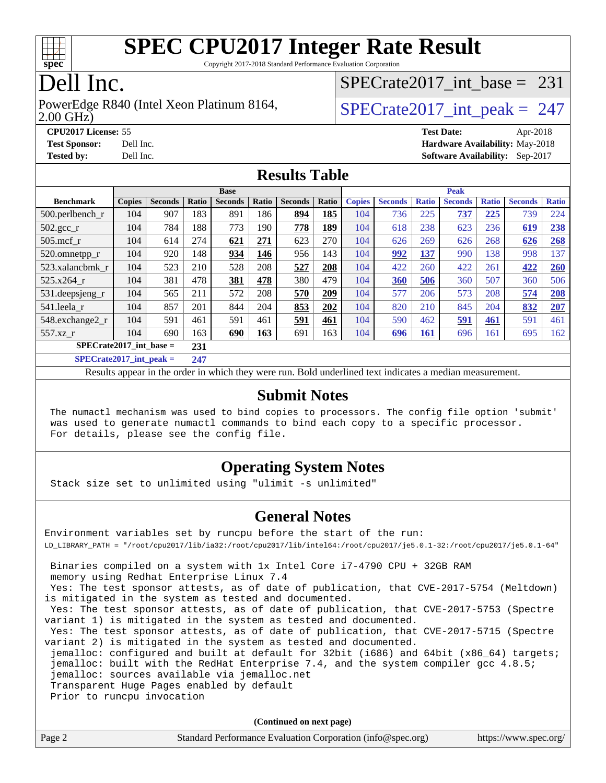

Copyright 2017-2018 Standard Performance Evaluation Corporation

### Dell Inc.

#### 2.00 GHz) PowerEdge R840 (Intel Xeon Platinum 8164,  $\vert$  [SPECrate2017\\_int\\_peak =](http://www.spec.org/auto/cpu2017/Docs/result-fields.html#SPECrate2017intpeak) 247

[SPECrate2017\\_int\\_base =](http://www.spec.org/auto/cpu2017/Docs/result-fields.html#SPECrate2017intbase) 231

**[CPU2017 License:](http://www.spec.org/auto/cpu2017/Docs/result-fields.html#CPU2017License)** 55 **[Test Date:](http://www.spec.org/auto/cpu2017/Docs/result-fields.html#TestDate)** Apr-2018 **[Test Sponsor:](http://www.spec.org/auto/cpu2017/Docs/result-fields.html#TestSponsor)** Dell Inc. **[Hardware Availability:](http://www.spec.org/auto/cpu2017/Docs/result-fields.html#HardwareAvailability)** May-2018 **[Tested by:](http://www.spec.org/auto/cpu2017/Docs/result-fields.html#Testedby)** Dell Inc. **[Software Availability:](http://www.spec.org/auto/cpu2017/Docs/result-fields.html#SoftwareAvailability)** Sep-2017

#### **[Results Table](http://www.spec.org/auto/cpu2017/Docs/result-fields.html#ResultsTable)**

|                                  | <b>Base</b>   |                |       |                | <b>Peak</b> |                |       |               |                |              |                |              |                |              |
|----------------------------------|---------------|----------------|-------|----------------|-------------|----------------|-------|---------------|----------------|--------------|----------------|--------------|----------------|--------------|
| <b>Benchmark</b>                 | <b>Copies</b> | <b>Seconds</b> | Ratio | <b>Seconds</b> | Ratio       | <b>Seconds</b> | Ratio | <b>Copies</b> | <b>Seconds</b> | <b>Ratio</b> | <b>Seconds</b> | <b>Ratio</b> | <b>Seconds</b> | <b>Ratio</b> |
| $500.$ perlbench_r               | 104           | 907            | 183   | 891            | 186         | 894            | 185   | 104           | 736            | 225          | 737            | 225          | 739            | 224          |
| $502.\text{gcc\_r}$              | 104           | 784            | 188   | 773            | 190         | 778            | 189   | 104           | 618            | 238          | 623            | 236          | 619            | 238          |
| $505$ .mcf r                     | 104           | 614            | 274   | 621            | 271         | 623            | 270   | 104           | 626            | 269          | 626            | 268          | 626            | 268          |
| 520.omnetpp_r                    | 104           | 920            | 148   | 934            | 146         | 956            | 143   | 104           | 992            | 137          | 990            | 138          | 998            | 137          |
| 523.xalancbmk_r                  | 104           | 523            | 210   | 528            | 208         | 527            | 208   | 104           | 422            | 260          | 422            | 261          | 422            | 260          |
| 525.x264 r                       | 104           | 381            | 478   | 381            | 478         | 380            | 479   | 104           | 360            | 506          | 360            | 507          | 360            | 506          |
| 531.deepsjeng_r                  | 104           | 565            | 211   | 572            | 208         | 570            | 209   | 104           | 577            | 206          | 573            | 208          | 574            | 208          |
| 541.leela r                      | 104           | 857            | 201   | 844            | 204         | 853            | 202   | 104           | 820            | 210          | 845            | 204          | 832            | 207          |
| 548.exchange2_r                  | 104           | 591            | 461   | 591            | 461         | 591            | 461   | 104           | 590            | 462          | <u>591</u>     | 461          | 591            | 461          |
| 557.xz r                         | 104           | 690            | 163   | 690            | 163         | 691            | 163   | 104           | 696            | <b>161</b>   | 696            | 161          | 695            | 162          |
| $SPECrate2017$ int base =<br>231 |               |                |       |                |             |                |       |               |                |              |                |              |                |              |
| $CDFCsoft2017 int node =$        | 247           |                |       |                |             |                |       |               |                |              |                |              |                |              |

**[SPECrate2017\\_int\\_peak =](http://www.spec.org/auto/cpu2017/Docs/result-fields.html#SPECrate2017intpeak) 247**

Results appear in the [order in which they were run](http://www.spec.org/auto/cpu2017/Docs/result-fields.html#RunOrder). Bold underlined text [indicates a median measurement](http://www.spec.org/auto/cpu2017/Docs/result-fields.html#Median).

#### **[Submit Notes](http://www.spec.org/auto/cpu2017/Docs/result-fields.html#SubmitNotes)**

 The numactl mechanism was used to bind copies to processors. The config file option 'submit' was used to generate numactl commands to bind each copy to a specific processor. For details, please see the config file.

#### **[Operating System Notes](http://www.spec.org/auto/cpu2017/Docs/result-fields.html#OperatingSystemNotes)**

Stack size set to unlimited using "ulimit -s unlimited"

#### **[General Notes](http://www.spec.org/auto/cpu2017/Docs/result-fields.html#GeneralNotes)**

Environment variables set by runcpu before the start of the run: LD\_LIBRARY\_PATH = "/root/cpu2017/lib/ia32:/root/cpu2017/lib/intel64:/root/cpu2017/je5.0.1-32:/root/cpu2017/je5.0.1-64" Binaries compiled on a system with 1x Intel Core i7-4790 CPU + 32GB RAM memory using Redhat Enterprise Linux 7.4 Yes: The test sponsor attests, as of date of publication, that CVE-2017-5754 (Meltdown) is mitigated in the system as tested and documented. Yes: The test sponsor attests, as of date of publication, that CVE-2017-5753 (Spectre variant 1) is mitigated in the system as tested and documented. Yes: The test sponsor attests, as of date of publication, that CVE-2017-5715 (Spectre variant 2) is mitigated in the system as tested and documented. jemalloc: configured and built at default for 32bit (i686) and 64bit (x86\_64) targets; jemalloc: built with the RedHat Enterprise 7.4, and the system compiler gcc 4.8.5; jemalloc: sources available via jemalloc.net Transparent Huge Pages enabled by default Prior to runcpu invocation

**(Continued on next page)**

| Page 2<br>Standard Performance Evaluation Corporation (info@spec.org) | https://www.spec.org/ |
|-----------------------------------------------------------------------|-----------------------|
|-----------------------------------------------------------------------|-----------------------|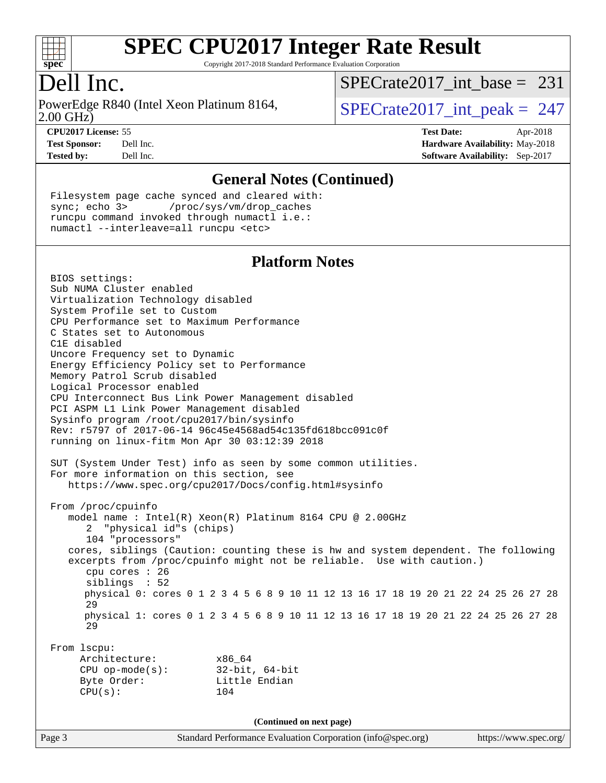

Copyright 2017-2018 Standard Performance Evaluation Corporation

### Dell Inc.

2.00 GHz) PowerEdge R840 (Intel Xeon Platinum 8164,  $\vert$  [SPECrate2017\\_int\\_peak =](http://www.spec.org/auto/cpu2017/Docs/result-fields.html#SPECrate2017intpeak) 247

 $SPECrate2017\_int\_base = 231$ 

**[CPU2017 License:](http://www.spec.org/auto/cpu2017/Docs/result-fields.html#CPU2017License)** 55 **[Test Date:](http://www.spec.org/auto/cpu2017/Docs/result-fields.html#TestDate)** Apr-2018 **[Test Sponsor:](http://www.spec.org/auto/cpu2017/Docs/result-fields.html#TestSponsor)** Dell Inc. **[Hardware Availability:](http://www.spec.org/auto/cpu2017/Docs/result-fields.html#HardwareAvailability)** May-2018 **[Tested by:](http://www.spec.org/auto/cpu2017/Docs/result-fields.html#Testedby)** Dell Inc. **[Software Availability:](http://www.spec.org/auto/cpu2017/Docs/result-fields.html#SoftwareAvailability)** Sep-2017

#### **[General Notes \(Continued\)](http://www.spec.org/auto/cpu2017/Docs/result-fields.html#GeneralNotes)**

 Filesystem page cache synced and cleared with: sync; echo 3> /proc/sys/vm/drop\_caches runcpu command invoked through numactl i.e.: numactl --interleave=all runcpu <etc>

#### **[Platform Notes](http://www.spec.org/auto/cpu2017/Docs/result-fields.html#PlatformNotes)**

Page 3 Standard Performance Evaluation Corporation [\(info@spec.org\)](mailto:info@spec.org) <https://www.spec.org/> BIOS settings: Sub NUMA Cluster enabled Virtualization Technology disabled System Profile set to Custom CPU Performance set to Maximum Performance C States set to Autonomous C1E disabled Uncore Frequency set to Dynamic Energy Efficiency Policy set to Performance Memory Patrol Scrub disabled Logical Processor enabled CPU Interconnect Bus Link Power Management disabled PCI ASPM L1 Link Power Management disabled Sysinfo program /root/cpu2017/bin/sysinfo Rev: r5797 of 2017-06-14 96c45e4568ad54c135fd618bcc091c0f running on linux-fitm Mon Apr 30 03:12:39 2018 SUT (System Under Test) info as seen by some common utilities. For more information on this section, see <https://www.spec.org/cpu2017/Docs/config.html#sysinfo> From /proc/cpuinfo model name : Intel(R) Xeon(R) Platinum 8164 CPU @ 2.00GHz 2 "physical id"s (chips) 104 "processors" cores, siblings (Caution: counting these is hw and system dependent. The following excerpts from /proc/cpuinfo might not be reliable. Use with caution.) cpu cores : 26 siblings : 52 physical 0: cores 0 1 2 3 4 5 6 8 9 10 11 12 13 16 17 18 19 20 21 22 24 25 26 27 28 29 physical 1: cores 0 1 2 3 4 5 6 8 9 10 11 12 13 16 17 18 19 20 21 22 24 25 26 27 28 29 From lscpu: Architecture: x86\_64 CPU op-mode(s): 32-bit, 64-bit Byte Order: Little Endian CPU(s): 104 **(Continued on next page)**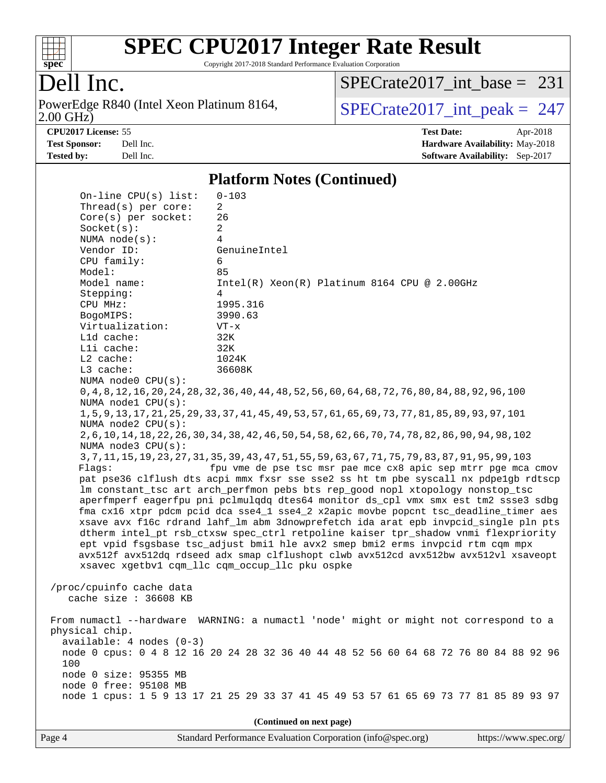

Copyright 2017-2018 Standard Performance Evaluation Corporation

### Dell Inc.

2.00 GHz) PowerEdge R840 (Intel Xeon Platinum 8164,  $\boxed{\text{SPECrate2017\_int\_peak = 247}}$ 

 $SPECTate2017\_int\_base = 231$ 

**[CPU2017 License:](http://www.spec.org/auto/cpu2017/Docs/result-fields.html#CPU2017License)** 55 **[Test Date:](http://www.spec.org/auto/cpu2017/Docs/result-fields.html#TestDate)** Apr-2018 **[Test Sponsor:](http://www.spec.org/auto/cpu2017/Docs/result-fields.html#TestSponsor)** Dell Inc. **[Hardware Availability:](http://www.spec.org/auto/cpu2017/Docs/result-fields.html#HardwareAvailability)** May-2018 **[Tested by:](http://www.spec.org/auto/cpu2017/Docs/result-fields.html#Testedby)** Dell Inc. **[Software Availability:](http://www.spec.org/auto/cpu2017/Docs/result-fields.html#SoftwareAvailability)** Sep-2017

#### **[Platform Notes \(Continued\)](http://www.spec.org/auto/cpu2017/Docs/result-fields.html#PlatformNotes)**

| On-line $CPU(s)$ list:                            | $0 - 103$                                                                                             |  |  |  |  |  |
|---------------------------------------------------|-------------------------------------------------------------------------------------------------------|--|--|--|--|--|
| Thread(s) per core:                               | 2                                                                                                     |  |  |  |  |  |
| $Core(s)$ per socket:                             | 26                                                                                                    |  |  |  |  |  |
| Socket(s):                                        | 2                                                                                                     |  |  |  |  |  |
| NUMA $node(s):$                                   | $\overline{4}$                                                                                        |  |  |  |  |  |
| Vendor ID:                                        | GenuineIntel                                                                                          |  |  |  |  |  |
| CPU family:                                       | 6                                                                                                     |  |  |  |  |  |
| Model:                                            | 85                                                                                                    |  |  |  |  |  |
| Model name:                                       | $Intel(R) Xeon(R) Platinum 8164 CPU @ 2.00GHz$                                                        |  |  |  |  |  |
| Stepping:                                         | 4                                                                                                     |  |  |  |  |  |
| CPU MHz:                                          | 1995.316                                                                                              |  |  |  |  |  |
| BogoMIPS:                                         | 3990.63                                                                                               |  |  |  |  |  |
| Virtualization:<br>L1d cache:                     | $VT - x$<br>32K                                                                                       |  |  |  |  |  |
| Lli cache:                                        | 32K                                                                                                   |  |  |  |  |  |
| $L2$ cache:                                       | 1024K                                                                                                 |  |  |  |  |  |
| L3 cache:                                         | 36608K                                                                                                |  |  |  |  |  |
| NUMA node0 CPU(s):                                |                                                                                                       |  |  |  |  |  |
|                                                   | 0, 4, 8, 12, 16, 20, 24, 28, 32, 36, 40, 44, 48, 52, 56, 60, 64, 68, 72, 76, 80, 84, 88, 92, 96, 100  |  |  |  |  |  |
| NUMA nodel CPU(s):                                |                                                                                                       |  |  |  |  |  |
|                                                   | 1, 5, 9, 13, 17, 21, 25, 29, 33, 37, 41, 45, 49, 53, 57, 61, 65, 69, 73, 77, 81, 85, 89, 93, 97, 101  |  |  |  |  |  |
| NUMA node2 CPU(s):                                |                                                                                                       |  |  |  |  |  |
|                                                   | 2, 6, 10, 14, 18, 22, 26, 30, 34, 38, 42, 46, 50, 54, 58, 62, 66, 70, 74, 78, 82, 86, 90, 94, 98, 102 |  |  |  |  |  |
| NUMA node3 CPU(s):                                |                                                                                                       |  |  |  |  |  |
|                                                   | 3, 7, 11, 15, 19, 23, 27, 31, 35, 39, 43, 47, 51, 55, 59, 63, 67, 71, 75, 79, 83, 87, 91, 95, 99, 103 |  |  |  |  |  |
| Flags:                                            | fpu vme de pse tsc msr pae mce cx8 apic sep mtrr pge mca cmov                                         |  |  |  |  |  |
|                                                   | pat pse36 clflush dts acpi mmx fxsr sse sse2 ss ht tm pbe syscall nx pdpelgb rdtscp                   |  |  |  |  |  |
|                                                   | lm constant_tsc art arch_perfmon pebs bts rep_good nopl xtopology nonstop_tsc                         |  |  |  |  |  |
|                                                   | aperfmperf eagerfpu pni pclmulqdq dtes64 monitor ds_cpl vmx smx est tm2 ssse3 sdbg                    |  |  |  |  |  |
|                                                   | fma cx16 xtpr pdcm pcid dca sse4_1 sse4_2 x2apic movbe popcnt tsc_deadline_timer aes                  |  |  |  |  |  |
|                                                   | xsave avx f16c rdrand lahf_lm abm 3dnowprefetch ida arat epb invpcid_single pln pts                   |  |  |  |  |  |
|                                                   | dtherm intel_pt rsb_ctxsw spec_ctrl retpoline kaiser tpr_shadow vnmi flexpriority                     |  |  |  |  |  |
|                                                   | ept vpid fsgsbase tsc_adjust bmil hle avx2 smep bmi2 erms invpcid rtm cqm mpx                         |  |  |  |  |  |
|                                                   | avx512f avx512dq rdseed adx smap clflushopt clwb avx512cd avx512bw avx512vl xsaveopt                  |  |  |  |  |  |
|                                                   | xsavec xgetbv1 cqm_llc cqm_occup_llc pku ospke                                                        |  |  |  |  |  |
|                                                   |                                                                                                       |  |  |  |  |  |
| /proc/cpuinfo cache data<br>cache size : 36608 KB |                                                                                                       |  |  |  |  |  |
|                                                   |                                                                                                       |  |  |  |  |  |
| From numactl --hardware                           | WARNING: a numactl 'node' might or might not correspond to a                                          |  |  |  |  |  |
| physical chip.                                    |                                                                                                       |  |  |  |  |  |
| $available: 4 nodes (0-3)$                        |                                                                                                       |  |  |  |  |  |
|                                                   | node 0 cpus: 0 4 8 12 16 20 24 28 32 36 40 44 48 52 56 60 64 68 72 76 80 84 88 92 96                  |  |  |  |  |  |
| 100                                               |                                                                                                       |  |  |  |  |  |
| node 0 size: 95355 MB                             |                                                                                                       |  |  |  |  |  |
| node 0 free: 95108 MB                             |                                                                                                       |  |  |  |  |  |
|                                                   | node 1 cpus: 1 5 9 13 17 21 25 29 33 37 41 45 49 53 57 61 65 69 73 77 81 85 89 93 97                  |  |  |  |  |  |
|                                                   |                                                                                                       |  |  |  |  |  |
| (Continued on next page)                          |                                                                                                       |  |  |  |  |  |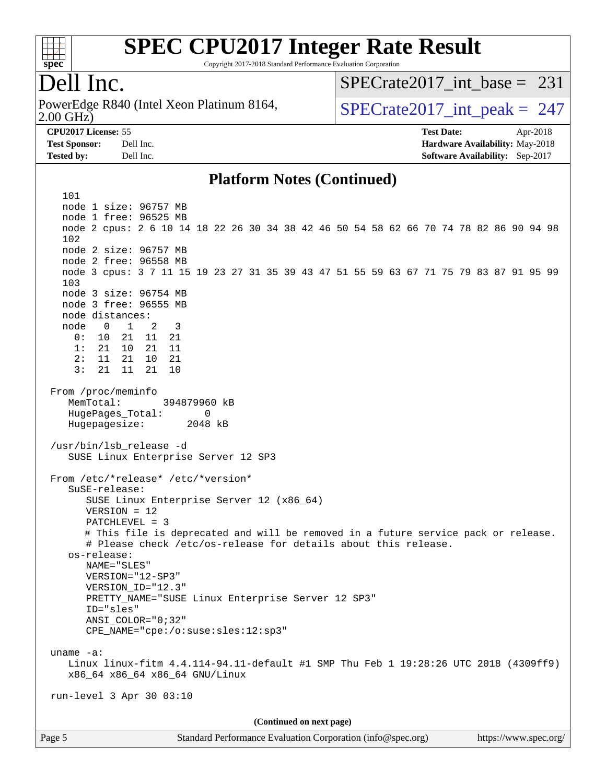

Copyright 2017-2018 Standard Performance Evaluation Corporation

### Dell Inc.

2.00 GHz) PowerEdge R840 (Intel Xeon Platinum 8164,  $\vert$  [SPECrate2017\\_int\\_peak =](http://www.spec.org/auto/cpu2017/Docs/result-fields.html#SPECrate2017intpeak) 247

 $SPECrate2017\_int\_base = 231$ 

**[CPU2017 License:](http://www.spec.org/auto/cpu2017/Docs/result-fields.html#CPU2017License)** 55 **[Test Date:](http://www.spec.org/auto/cpu2017/Docs/result-fields.html#TestDate)** Apr-2018 **[Test Sponsor:](http://www.spec.org/auto/cpu2017/Docs/result-fields.html#TestSponsor)** Dell Inc. **[Hardware Availability:](http://www.spec.org/auto/cpu2017/Docs/result-fields.html#HardwareAvailability)** May-2018 **[Tested by:](http://www.spec.org/auto/cpu2017/Docs/result-fields.html#Testedby)** Dell Inc. **[Software Availability:](http://www.spec.org/auto/cpu2017/Docs/result-fields.html#SoftwareAvailability)** Sep-2017

#### **[Platform Notes \(Continued\)](http://www.spec.org/auto/cpu2017/Docs/result-fields.html#PlatformNotes)**

Page 5 Standard Performance Evaluation Corporation [\(info@spec.org\)](mailto:info@spec.org) <https://www.spec.org/> 101 node 1 size: 96757 MB node 1 free: 96525 MB node 2 cpus: 2 6 10 14 18 22 26 30 34 38 42 46 50 54 58 62 66 70 74 78 82 86 90 94 98 102 node 2 size: 96757 MB node 2 free: 96558 MB node 3 cpus: 3 7 11 15 19 23 27 31 35 39 43 47 51 55 59 63 67 71 75 79 83 87 91 95 99 103 node 3 size: 96754 MB node 3 free: 96555 MB node distances: node 0 1 2 3 0: 10 21 11 21 1: 21 10 21 11 2: 11 21 10 21 3: 21 11 21 10 From /proc/meminfo MemTotal: 394879960 kB HugePages\_Total: 0 Hugepagesize: 2048 kB /usr/bin/lsb\_release -d SUSE Linux Enterprise Server 12 SP3 From /etc/\*release\* /etc/\*version\* SuSE-release: SUSE Linux Enterprise Server 12 (x86\_64) VERSION = 12 PATCHLEVEL = 3 # This file is deprecated and will be removed in a future service pack or release. # Please check /etc/os-release for details about this release. os-release: NAME="SLES" VERSION="12-SP3" VERSION\_ID="12.3" PRETTY\_NAME="SUSE Linux Enterprise Server 12 SP3" ID="sles" ANSI\_COLOR="0;32" CPE\_NAME="cpe:/o:suse:sles:12:sp3" uname -a: Linux linux-fitm 4.4.114-94.11-default #1 SMP Thu Feb 1 19:28:26 UTC 2018 (4309ff9) x86\_64 x86\_64 x86\_64 GNU/Linux run-level 3 Apr 30 03:10 **(Continued on next page)**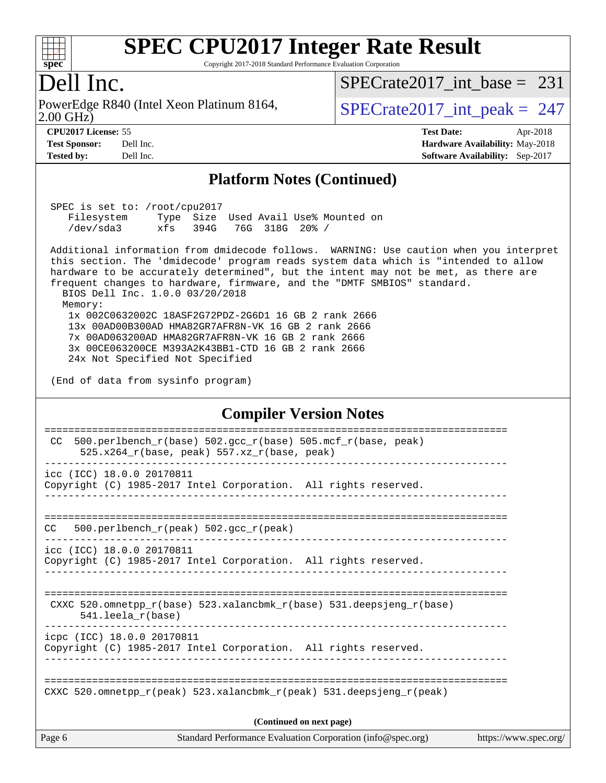

Copyright 2017-2018 Standard Performance Evaluation Corporation

#### Dell Inc.

2.00 GHz) PowerEdge R840 (Intel Xeon Platinum 8164,  $\vert$  [SPECrate2017\\_int\\_peak =](http://www.spec.org/auto/cpu2017/Docs/result-fields.html#SPECrate2017intpeak) 247

[SPECrate2017\\_int\\_base =](http://www.spec.org/auto/cpu2017/Docs/result-fields.html#SPECrate2017intbase) 231

**[Tested by:](http://www.spec.org/auto/cpu2017/Docs/result-fields.html#Testedby)** Dell Inc. **[Software Availability:](http://www.spec.org/auto/cpu2017/Docs/result-fields.html#SoftwareAvailability)** Sep-2017

**[CPU2017 License:](http://www.spec.org/auto/cpu2017/Docs/result-fields.html#CPU2017License)** 55 **[Test Date:](http://www.spec.org/auto/cpu2017/Docs/result-fields.html#TestDate)** Apr-2018 **[Test Sponsor:](http://www.spec.org/auto/cpu2017/Docs/result-fields.html#TestSponsor)** Dell Inc. **[Hardware Availability:](http://www.spec.org/auto/cpu2017/Docs/result-fields.html#HardwareAvailability)** May-2018

#### **[Platform Notes \(Continued\)](http://www.spec.org/auto/cpu2017/Docs/result-fields.html#PlatformNotes)**

 SPEC is set to: /root/cpu2017 Filesystem Type Size Used Avail Use% Mounted on /dev/sda3 xfs 394G 76G 318G 20% /

 Additional information from dmidecode follows. WARNING: Use caution when you interpret this section. The 'dmidecode' program reads system data which is "intended to allow hardware to be accurately determined", but the intent may not be met, as there are frequent changes to hardware, firmware, and the "DMTF SMBIOS" standard. BIOS Dell Inc. 1.0.0 03/20/2018

 Memory: 1x 002C0632002C 18ASF2G72PDZ-2G6D1 16 GB 2 rank 2666 13x 00AD00B300AD HMA82GR7AFR8N-VK 16 GB 2 rank 2666 7x 00AD063200AD HMA82GR7AFR8N-VK 16 GB 2 rank 2666 3x 00CE063200CE M393A2K43BB1-CTD 16 GB 2 rank 2666 24x Not Specified Not Specified

(End of data from sysinfo program)

#### **[Compiler Version Notes](http://www.spec.org/auto/cpu2017/Docs/result-fields.html#CompilerVersionNotes)**

| Page 6 | Standard Performance Evaluation Corporation (info@spec.org)                                                    | https://www.spec.org/ |
|--------|----------------------------------------------------------------------------------------------------------------|-----------------------|
|        | (Continued on next page)                                                                                       |                       |
|        | CXXC 520.omnetpp $r(\text{peak})$ 523.xalancbmk $r(\text{peak})$ 531.deepsjeng $r(\text{peak})$                |                       |
|        | icpc (ICC) 18.0.0 20170811<br>Copyright (C) 1985-2017 Intel Corporation. All rights reserved.                  |                       |
|        | CXXC 520.omnetpp $r(base)$ 523.xalancbmk $r(base)$ 531.deepsjeng $r(base)$<br>$541.$ leela_r(base)             |                       |
|        | icc (ICC) 18.0.0 20170811<br>Copyright (C) 1985-2017 Intel Corporation. All rights reserved.                   |                       |
| CC.    | 500.perlbench $r(\text{peak})$ 502.gcc $r(\text{peak})$                                                        |                       |
|        | icc (ICC) 18.0.0 20170811<br>Copyright (C) 1985-2017 Intel Corporation. All rights reserved.                   |                       |
| CC.    | 500.perlbench_r(base) 502.gcc_r(base) 505.mcf_r(base, peak)<br>525.x264 $r(base, peak)$ 557.xz $r(base, peak)$ |                       |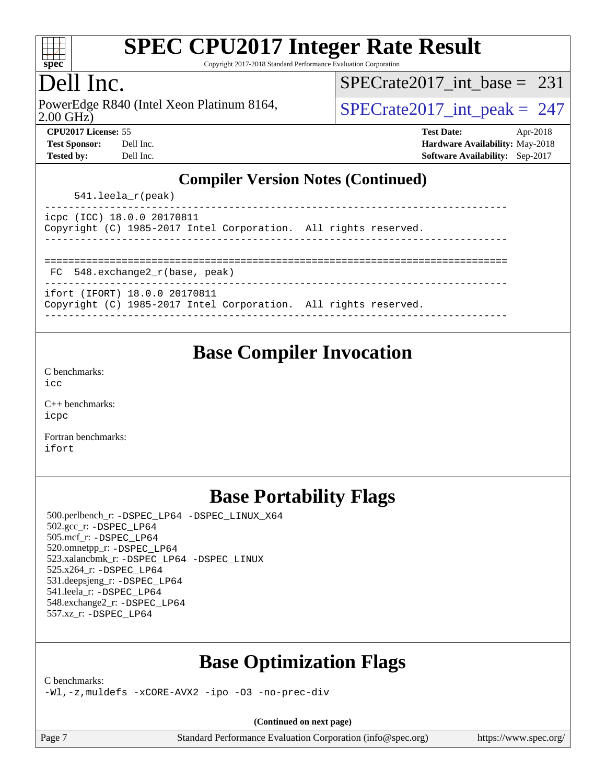

Copyright 2017-2018 Standard Performance Evaluation Corporation

### Dell Inc.

2.00 GHz) PowerEdge R840 (Intel Xeon Platinum 8164,  $\vert$  [SPECrate2017\\_int\\_peak =](http://www.spec.org/auto/cpu2017/Docs/result-fields.html#SPECrate2017intpeak) 247

[SPECrate2017\\_int\\_base =](http://www.spec.org/auto/cpu2017/Docs/result-fields.html#SPECrate2017intbase) 231

| <b>Test Sponsor:</b> | Dell In |
|----------------------|---------|
| Tested by:           | Dell In |

**[CPU2017 License:](http://www.spec.org/auto/cpu2017/Docs/result-fields.html#CPU2017License)** 55 **[Test Date:](http://www.spec.org/auto/cpu2017/Docs/result-fields.html#TestDate)** Apr-2018 **[Test Sponsor:](http://www.spec.org/auto/cpu2017/Docs/result-fields.html#TestSponsor) [Hardware Availability:](http://www.spec.org/auto/cpu2017/Docs/result-fields.html#HardwareAvailability)** May-2018 **[Tested by:](http://www.spec.org/auto/cpu2017/Docs/result-fields.html#Testedby) [Software Availability:](http://www.spec.org/auto/cpu2017/Docs/result-fields.html#SoftwareAvailability)** Sep-2017

#### **[Compiler Version Notes \(Continued\)](http://www.spec.org/auto/cpu2017/Docs/result-fields.html#CompilerVersionNotes)**

| $541.$ leela_r(peak) |  |
|----------------------|--|
|----------------------|--|

| icpc (ICC) 18.0.0 20170811 |  |                                                                 |  |  |
|----------------------------|--|-----------------------------------------------------------------|--|--|
|                            |  | Copyright (C) 1985-2017 Intel Corporation. All rights reserved. |  |  |
|                            |  |                                                                 |  |  |

==============================================================================

FC 548.exchange2\_r(base, peak)

```
------------------------------------------------------------------------------
ifort (IFORT) 18.0.0 20170811
```

| . |  |                                                                 |  |  |
|---|--|-----------------------------------------------------------------|--|--|
|   |  | Copyright (C) 1985-2017 Intel Corporation. All rights reserved. |  |  |

#### ------------------------------------------------------------------------------

### **[Base Compiler Invocation](http://www.spec.org/auto/cpu2017/Docs/result-fields.html#BaseCompilerInvocation)**

[C benchmarks](http://www.spec.org/auto/cpu2017/Docs/result-fields.html#Cbenchmarks): [icc](http://www.spec.org/cpu2017/results/res2018q2/cpu2017-20180514-05571.flags.html#user_CCbase_intel_icc_18.0_66fc1ee009f7361af1fbd72ca7dcefbb700085f36577c54f309893dd4ec40d12360134090235512931783d35fd58c0460139e722d5067c5574d8eaf2b3e37e92)

[C++ benchmarks:](http://www.spec.org/auto/cpu2017/Docs/result-fields.html#CXXbenchmarks) [icpc](http://www.spec.org/cpu2017/results/res2018q2/cpu2017-20180514-05571.flags.html#user_CXXbase_intel_icpc_18.0_c510b6838c7f56d33e37e94d029a35b4a7bccf4766a728ee175e80a419847e808290a9b78be685c44ab727ea267ec2f070ec5dc83b407c0218cded6866a35d07)

[Fortran benchmarks](http://www.spec.org/auto/cpu2017/Docs/result-fields.html#Fortranbenchmarks): [ifort](http://www.spec.org/cpu2017/results/res2018q2/cpu2017-20180514-05571.flags.html#user_FCbase_intel_ifort_18.0_8111460550e3ca792625aed983ce982f94888b8b503583aa7ba2b8303487b4d8a21a13e7191a45c5fd58ff318f48f9492884d4413fa793fd88dd292cad7027ca)

### **[Base Portability Flags](http://www.spec.org/auto/cpu2017/Docs/result-fields.html#BasePortabilityFlags)**

 500.perlbench\_r: [-DSPEC\\_LP64](http://www.spec.org/cpu2017/results/res2018q2/cpu2017-20180514-05571.flags.html#b500.perlbench_r_basePORTABILITY_DSPEC_LP64) [-DSPEC\\_LINUX\\_X64](http://www.spec.org/cpu2017/results/res2018q2/cpu2017-20180514-05571.flags.html#b500.perlbench_r_baseCPORTABILITY_DSPEC_LINUX_X64) 502.gcc\_r: [-DSPEC\\_LP64](http://www.spec.org/cpu2017/results/res2018q2/cpu2017-20180514-05571.flags.html#suite_basePORTABILITY502_gcc_r_DSPEC_LP64) 505.mcf\_r: [-DSPEC\\_LP64](http://www.spec.org/cpu2017/results/res2018q2/cpu2017-20180514-05571.flags.html#suite_basePORTABILITY505_mcf_r_DSPEC_LP64) 520.omnetpp\_r: [-DSPEC\\_LP64](http://www.spec.org/cpu2017/results/res2018q2/cpu2017-20180514-05571.flags.html#suite_basePORTABILITY520_omnetpp_r_DSPEC_LP64) 523.xalancbmk\_r: [-DSPEC\\_LP64](http://www.spec.org/cpu2017/results/res2018q2/cpu2017-20180514-05571.flags.html#suite_basePORTABILITY523_xalancbmk_r_DSPEC_LP64) [-DSPEC\\_LINUX](http://www.spec.org/cpu2017/results/res2018q2/cpu2017-20180514-05571.flags.html#b523.xalancbmk_r_baseCXXPORTABILITY_DSPEC_LINUX) 525.x264\_r: [-DSPEC\\_LP64](http://www.spec.org/cpu2017/results/res2018q2/cpu2017-20180514-05571.flags.html#suite_basePORTABILITY525_x264_r_DSPEC_LP64) 531.deepsjeng\_r: [-DSPEC\\_LP64](http://www.spec.org/cpu2017/results/res2018q2/cpu2017-20180514-05571.flags.html#suite_basePORTABILITY531_deepsjeng_r_DSPEC_LP64) 541.leela\_r: [-DSPEC\\_LP64](http://www.spec.org/cpu2017/results/res2018q2/cpu2017-20180514-05571.flags.html#suite_basePORTABILITY541_leela_r_DSPEC_LP64) 548.exchange2\_r: [-DSPEC\\_LP64](http://www.spec.org/cpu2017/results/res2018q2/cpu2017-20180514-05571.flags.html#suite_basePORTABILITY548_exchange2_r_DSPEC_LP64) 557.xz\_r: [-DSPEC\\_LP64](http://www.spec.org/cpu2017/results/res2018q2/cpu2017-20180514-05571.flags.html#suite_basePORTABILITY557_xz_r_DSPEC_LP64)

### **[Base Optimization Flags](http://www.spec.org/auto/cpu2017/Docs/result-fields.html#BaseOptimizationFlags)**

[C benchmarks](http://www.spec.org/auto/cpu2017/Docs/result-fields.html#Cbenchmarks):

[-Wl,-z,muldefs](http://www.spec.org/cpu2017/results/res2018q2/cpu2017-20180514-05571.flags.html#user_CCbase_link_force_multiple1_b4cbdb97b34bdee9ceefcfe54f4c8ea74255f0b02a4b23e853cdb0e18eb4525ac79b5a88067c842dd0ee6996c24547a27a4b99331201badda8798ef8a743f577) [-xCORE-AVX2](http://www.spec.org/cpu2017/results/res2018q2/cpu2017-20180514-05571.flags.html#user_CCbase_f-xCORE-AVX2) [-ipo](http://www.spec.org/cpu2017/results/res2018q2/cpu2017-20180514-05571.flags.html#user_CCbase_f-ipo) [-O3](http://www.spec.org/cpu2017/results/res2018q2/cpu2017-20180514-05571.flags.html#user_CCbase_f-O3) [-no-prec-div](http://www.spec.org/cpu2017/results/res2018q2/cpu2017-20180514-05571.flags.html#user_CCbase_f-no-prec-div)

**(Continued on next page)**

Page 7 Standard Performance Evaluation Corporation [\(info@spec.org\)](mailto:info@spec.org) <https://www.spec.org/>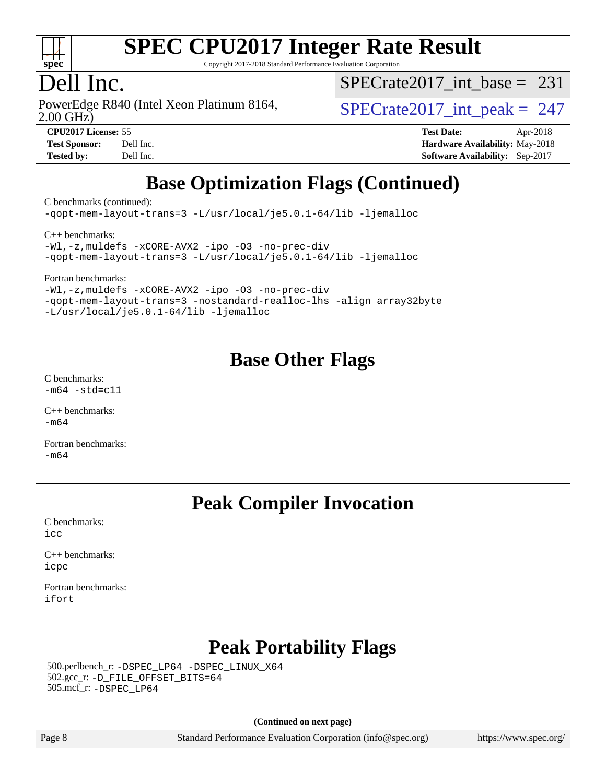

Copyright 2017-2018 Standard Performance Evaluation Corporation

### Dell Inc.

PowerEdge R840 (Intel Xeon Platinum 8164,<br>2.00 GHz)

[SPECrate2017\\_int\\_base =](http://www.spec.org/auto/cpu2017/Docs/result-fields.html#SPECrate2017intbase) 231

 $SPECTate 2017\_int\_peak = 247$ 

**[CPU2017 License:](http://www.spec.org/auto/cpu2017/Docs/result-fields.html#CPU2017License)** 55 **[Test Date:](http://www.spec.org/auto/cpu2017/Docs/result-fields.html#TestDate)** Apr-2018 **[Test Sponsor:](http://www.spec.org/auto/cpu2017/Docs/result-fields.html#TestSponsor)** Dell Inc. **[Hardware Availability:](http://www.spec.org/auto/cpu2017/Docs/result-fields.html#HardwareAvailability)** May-2018 **[Tested by:](http://www.spec.org/auto/cpu2017/Docs/result-fields.html#Testedby)** Dell Inc. **[Software Availability:](http://www.spec.org/auto/cpu2017/Docs/result-fields.html#SoftwareAvailability)** Sep-2017

## **[Base Optimization Flags \(Continued\)](http://www.spec.org/auto/cpu2017/Docs/result-fields.html#BaseOptimizationFlags)**

[C benchmarks](http://www.spec.org/auto/cpu2017/Docs/result-fields.html#Cbenchmarks) (continued):

[-qopt-mem-layout-trans=3](http://www.spec.org/cpu2017/results/res2018q2/cpu2017-20180514-05571.flags.html#user_CCbase_f-qopt-mem-layout-trans_de80db37974c74b1f0e20d883f0b675c88c3b01e9d123adea9b28688d64333345fb62bc4a798493513fdb68f60282f9a726aa07f478b2f7113531aecce732043) [-L/usr/local/je5.0.1-64/lib](http://www.spec.org/cpu2017/results/res2018q2/cpu2017-20180514-05571.flags.html#user_CCbase_jemalloc_link_path64_4b10a636b7bce113509b17f3bd0d6226c5fb2346b9178c2d0232c14f04ab830f976640479e5c33dc2bcbbdad86ecfb6634cbbd4418746f06f368b512fced5394) [-ljemalloc](http://www.spec.org/cpu2017/results/res2018q2/cpu2017-20180514-05571.flags.html#user_CCbase_jemalloc_link_lib_d1249b907c500fa1c0672f44f562e3d0f79738ae9e3c4a9c376d49f265a04b9c99b167ecedbf6711b3085be911c67ff61f150a17b3472be731631ba4d0471706)

[C++ benchmarks:](http://www.spec.org/auto/cpu2017/Docs/result-fields.html#CXXbenchmarks)

[-Wl,-z,muldefs](http://www.spec.org/cpu2017/results/res2018q2/cpu2017-20180514-05571.flags.html#user_CXXbase_link_force_multiple1_b4cbdb97b34bdee9ceefcfe54f4c8ea74255f0b02a4b23e853cdb0e18eb4525ac79b5a88067c842dd0ee6996c24547a27a4b99331201badda8798ef8a743f577) [-xCORE-AVX2](http://www.spec.org/cpu2017/results/res2018q2/cpu2017-20180514-05571.flags.html#user_CXXbase_f-xCORE-AVX2) [-ipo](http://www.spec.org/cpu2017/results/res2018q2/cpu2017-20180514-05571.flags.html#user_CXXbase_f-ipo) [-O3](http://www.spec.org/cpu2017/results/res2018q2/cpu2017-20180514-05571.flags.html#user_CXXbase_f-O3) [-no-prec-div](http://www.spec.org/cpu2017/results/res2018q2/cpu2017-20180514-05571.flags.html#user_CXXbase_f-no-prec-div) [-qopt-mem-layout-trans=3](http://www.spec.org/cpu2017/results/res2018q2/cpu2017-20180514-05571.flags.html#user_CXXbase_f-qopt-mem-layout-trans_de80db37974c74b1f0e20d883f0b675c88c3b01e9d123adea9b28688d64333345fb62bc4a798493513fdb68f60282f9a726aa07f478b2f7113531aecce732043) [-L/usr/local/je5.0.1-64/lib](http://www.spec.org/cpu2017/results/res2018q2/cpu2017-20180514-05571.flags.html#user_CXXbase_jemalloc_link_path64_4b10a636b7bce113509b17f3bd0d6226c5fb2346b9178c2d0232c14f04ab830f976640479e5c33dc2bcbbdad86ecfb6634cbbd4418746f06f368b512fced5394) [-ljemalloc](http://www.spec.org/cpu2017/results/res2018q2/cpu2017-20180514-05571.flags.html#user_CXXbase_jemalloc_link_lib_d1249b907c500fa1c0672f44f562e3d0f79738ae9e3c4a9c376d49f265a04b9c99b167ecedbf6711b3085be911c67ff61f150a17b3472be731631ba4d0471706)

[Fortran benchmarks](http://www.spec.org/auto/cpu2017/Docs/result-fields.html#Fortranbenchmarks):

[-Wl,-z,muldefs](http://www.spec.org/cpu2017/results/res2018q2/cpu2017-20180514-05571.flags.html#user_FCbase_link_force_multiple1_b4cbdb97b34bdee9ceefcfe54f4c8ea74255f0b02a4b23e853cdb0e18eb4525ac79b5a88067c842dd0ee6996c24547a27a4b99331201badda8798ef8a743f577) [-xCORE-AVX2](http://www.spec.org/cpu2017/results/res2018q2/cpu2017-20180514-05571.flags.html#user_FCbase_f-xCORE-AVX2) [-ipo](http://www.spec.org/cpu2017/results/res2018q2/cpu2017-20180514-05571.flags.html#user_FCbase_f-ipo) [-O3](http://www.spec.org/cpu2017/results/res2018q2/cpu2017-20180514-05571.flags.html#user_FCbase_f-O3) [-no-prec-div](http://www.spec.org/cpu2017/results/res2018q2/cpu2017-20180514-05571.flags.html#user_FCbase_f-no-prec-div) [-qopt-mem-layout-trans=3](http://www.spec.org/cpu2017/results/res2018q2/cpu2017-20180514-05571.flags.html#user_FCbase_f-qopt-mem-layout-trans_de80db37974c74b1f0e20d883f0b675c88c3b01e9d123adea9b28688d64333345fb62bc4a798493513fdb68f60282f9a726aa07f478b2f7113531aecce732043) [-nostandard-realloc-lhs](http://www.spec.org/cpu2017/results/res2018q2/cpu2017-20180514-05571.flags.html#user_FCbase_f_2003_std_realloc_82b4557e90729c0f113870c07e44d33d6f5a304b4f63d4c15d2d0f1fab99f5daaed73bdb9275d9ae411527f28b936061aa8b9c8f2d63842963b95c9dd6426b8a) [-align array32byte](http://www.spec.org/cpu2017/results/res2018q2/cpu2017-20180514-05571.flags.html#user_FCbase_align_array32byte_b982fe038af199962ba9a80c053b8342c548c85b40b8e86eb3cc33dee0d7986a4af373ac2d51c3f7cf710a18d62fdce2948f201cd044323541f22fc0fffc51b6) [-L/usr/local/je5.0.1-64/lib](http://www.spec.org/cpu2017/results/res2018q2/cpu2017-20180514-05571.flags.html#user_FCbase_jemalloc_link_path64_4b10a636b7bce113509b17f3bd0d6226c5fb2346b9178c2d0232c14f04ab830f976640479e5c33dc2bcbbdad86ecfb6634cbbd4418746f06f368b512fced5394) [-ljemalloc](http://www.spec.org/cpu2017/results/res2018q2/cpu2017-20180514-05571.flags.html#user_FCbase_jemalloc_link_lib_d1249b907c500fa1c0672f44f562e3d0f79738ae9e3c4a9c376d49f265a04b9c99b167ecedbf6711b3085be911c67ff61f150a17b3472be731631ba4d0471706)

#### **[Base Other Flags](http://www.spec.org/auto/cpu2017/Docs/result-fields.html#BaseOtherFlags)**

[C benchmarks](http://www.spec.org/auto/cpu2017/Docs/result-fields.html#Cbenchmarks):  $-m64 - std = c11$  $-m64 - std = c11$ 

[C++ benchmarks:](http://www.spec.org/auto/cpu2017/Docs/result-fields.html#CXXbenchmarks) [-m64](http://www.spec.org/cpu2017/results/res2018q2/cpu2017-20180514-05571.flags.html#user_CXXbase_intel_intel64_18.0_af43caccfc8ded86e7699f2159af6efc7655f51387b94da716254467f3c01020a5059329e2569e4053f409e7c9202a7efc638f7a6d1ffb3f52dea4a3e31d82ab)

[Fortran benchmarks](http://www.spec.org/auto/cpu2017/Docs/result-fields.html#Fortranbenchmarks):  $-m64$ 

### **[Peak Compiler Invocation](http://www.spec.org/auto/cpu2017/Docs/result-fields.html#PeakCompilerInvocation)**

[C benchmarks](http://www.spec.org/auto/cpu2017/Docs/result-fields.html#Cbenchmarks):  $i$ cc

[C++ benchmarks:](http://www.spec.org/auto/cpu2017/Docs/result-fields.html#CXXbenchmarks) [icpc](http://www.spec.org/cpu2017/results/res2018q2/cpu2017-20180514-05571.flags.html#user_CXXpeak_intel_icpc_18.0_c510b6838c7f56d33e37e94d029a35b4a7bccf4766a728ee175e80a419847e808290a9b78be685c44ab727ea267ec2f070ec5dc83b407c0218cded6866a35d07)

[Fortran benchmarks](http://www.spec.org/auto/cpu2017/Docs/result-fields.html#Fortranbenchmarks): [ifort](http://www.spec.org/cpu2017/results/res2018q2/cpu2017-20180514-05571.flags.html#user_FCpeak_intel_ifort_18.0_8111460550e3ca792625aed983ce982f94888b8b503583aa7ba2b8303487b4d8a21a13e7191a45c5fd58ff318f48f9492884d4413fa793fd88dd292cad7027ca)

### **[Peak Portability Flags](http://www.spec.org/auto/cpu2017/Docs/result-fields.html#PeakPortabilityFlags)**

 500.perlbench\_r: [-DSPEC\\_LP64](http://www.spec.org/cpu2017/results/res2018q2/cpu2017-20180514-05571.flags.html#b500.perlbench_r_peakPORTABILITY_DSPEC_LP64) [-DSPEC\\_LINUX\\_X64](http://www.spec.org/cpu2017/results/res2018q2/cpu2017-20180514-05571.flags.html#b500.perlbench_r_peakCPORTABILITY_DSPEC_LINUX_X64) 502.gcc\_r: [-D\\_FILE\\_OFFSET\\_BITS=64](http://www.spec.org/cpu2017/results/res2018q2/cpu2017-20180514-05571.flags.html#user_peakPORTABILITY502_gcc_r_file_offset_bits_64_5ae949a99b284ddf4e95728d47cb0843d81b2eb0e18bdfe74bbf0f61d0b064f4bda2f10ea5eb90e1dcab0e84dbc592acfc5018bc955c18609f94ddb8d550002c) 505.mcf\_r: [-DSPEC\\_LP64](http://www.spec.org/cpu2017/results/res2018q2/cpu2017-20180514-05571.flags.html#suite_peakPORTABILITY505_mcf_r_DSPEC_LP64)

**(Continued on next page)**

Page 8 Standard Performance Evaluation Corporation [\(info@spec.org\)](mailto:info@spec.org) <https://www.spec.org/>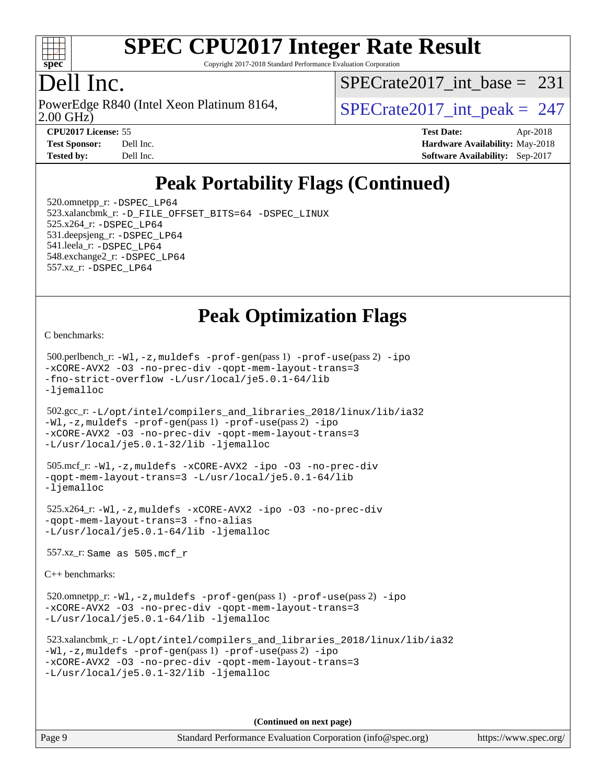

Copyright 2017-2018 Standard Performance Evaluation Corporation

### Dell Inc.

2.00 GHz) PowerEdge R840 (Intel Xeon Platinum 8164,  $\vert$  [SPECrate2017\\_int\\_peak =](http://www.spec.org/auto/cpu2017/Docs/result-fields.html#SPECrate2017intpeak) 247

 $SPECrate2017\_int\_base = 231$ 

**[CPU2017 License:](http://www.spec.org/auto/cpu2017/Docs/result-fields.html#CPU2017License)** 55 **[Test Date:](http://www.spec.org/auto/cpu2017/Docs/result-fields.html#TestDate)** Apr-2018 **[Test Sponsor:](http://www.spec.org/auto/cpu2017/Docs/result-fields.html#TestSponsor)** Dell Inc. **[Hardware Availability:](http://www.spec.org/auto/cpu2017/Docs/result-fields.html#HardwareAvailability)** May-2018 **[Tested by:](http://www.spec.org/auto/cpu2017/Docs/result-fields.html#Testedby)** Dell Inc. **[Software Availability:](http://www.spec.org/auto/cpu2017/Docs/result-fields.html#SoftwareAvailability)** Sep-2017

## **[Peak Portability Flags \(Continued\)](http://www.spec.org/auto/cpu2017/Docs/result-fields.html#PeakPortabilityFlags)**

 520.omnetpp\_r: [-DSPEC\\_LP64](http://www.spec.org/cpu2017/results/res2018q2/cpu2017-20180514-05571.flags.html#suite_peakPORTABILITY520_omnetpp_r_DSPEC_LP64) 523.xalancbmk\_r: [-D\\_FILE\\_OFFSET\\_BITS=64](http://www.spec.org/cpu2017/results/res2018q2/cpu2017-20180514-05571.flags.html#user_peakPORTABILITY523_xalancbmk_r_file_offset_bits_64_5ae949a99b284ddf4e95728d47cb0843d81b2eb0e18bdfe74bbf0f61d0b064f4bda2f10ea5eb90e1dcab0e84dbc592acfc5018bc955c18609f94ddb8d550002c) [-DSPEC\\_LINUX](http://www.spec.org/cpu2017/results/res2018q2/cpu2017-20180514-05571.flags.html#b523.xalancbmk_r_peakCXXPORTABILITY_DSPEC_LINUX) 525.x264\_r: [-DSPEC\\_LP64](http://www.spec.org/cpu2017/results/res2018q2/cpu2017-20180514-05571.flags.html#suite_peakPORTABILITY525_x264_r_DSPEC_LP64) 531.deepsjeng\_r: [-DSPEC\\_LP64](http://www.spec.org/cpu2017/results/res2018q2/cpu2017-20180514-05571.flags.html#suite_peakPORTABILITY531_deepsjeng_r_DSPEC_LP64) 541.leela\_r: [-DSPEC\\_LP64](http://www.spec.org/cpu2017/results/res2018q2/cpu2017-20180514-05571.flags.html#suite_peakPORTABILITY541_leela_r_DSPEC_LP64) 548.exchange2\_r: [-DSPEC\\_LP64](http://www.spec.org/cpu2017/results/res2018q2/cpu2017-20180514-05571.flags.html#suite_peakPORTABILITY548_exchange2_r_DSPEC_LP64) 557.xz\_r: [-DSPEC\\_LP64](http://www.spec.org/cpu2017/results/res2018q2/cpu2017-20180514-05571.flags.html#suite_peakPORTABILITY557_xz_r_DSPEC_LP64)

### **[Peak Optimization Flags](http://www.spec.org/auto/cpu2017/Docs/result-fields.html#PeakOptimizationFlags)**

[C benchmarks](http://www.spec.org/auto/cpu2017/Docs/result-fields.html#Cbenchmarks):

```
 500.perlbench_r: -Wl,-z,muldefs -prof-gen(pass 1) -prof-use(pass 2) -ipo
-xCORE-AVX2 -O3 -no-prec-div -qopt-mem-layout-trans=3
-fno-strict-overflow -L/usr/local/je5.0.1-64/lib
-ljemalloc
 502.gcc_r: -L/opt/intel/compilers_and_libraries_2018/linux/lib/ia32
-Wl,-z,muldefs -prof-gen(pass 1) -prof-use(pass 2) -ipo
-xCORE-AVX2 -O3 -no-prec-div -qopt-mem-layout-trans=3
-L/usr/local/je5.0.1-32/lib -ljemalloc
 505.mcf_r: -Wl,-z,muldefs -xCORE-AVX2 -ipo -O3 -no-prec-div
-qopt-mem-layout-trans=3 -L/usr/local/je5.0.1-64/lib
-ljemalloc
 525.x264_r: -Wl,-z,muldefs -xCORE-AVX2 -ipo -O3 -no-prec-div
-qopt-mem-layout-trans=3 -fno-alias
-L/usr/local/je5.0.1-64/lib -ljemalloc
 557.xz_r: Same as 505.mcf_r
C++ benchmarks: 
 520.omnetpp_r: -Wl,-z,muldefs -prof-gen(pass 1) -prof-use(pass 2) -ipo
-xCORE-AVX2 -O3 -no-prec-div -qopt-mem-layout-trans=3
-L/usr/local/je5.0.1-64/lib -ljemalloc
 523.xalancbmk_r: -L/opt/intel/compilers_and_libraries_2018/linux/lib/ia32
-Wl,-z,muldefs -prof-gen(pass 1) -prof-use(pass 2) -ipo
-xCORE-AVX2 -O3 -no-prec-div -qopt-mem-layout-trans=3
-L/usr/local/je5.0.1-32/lib -ljemalloc
```
**(Continued on next page)**